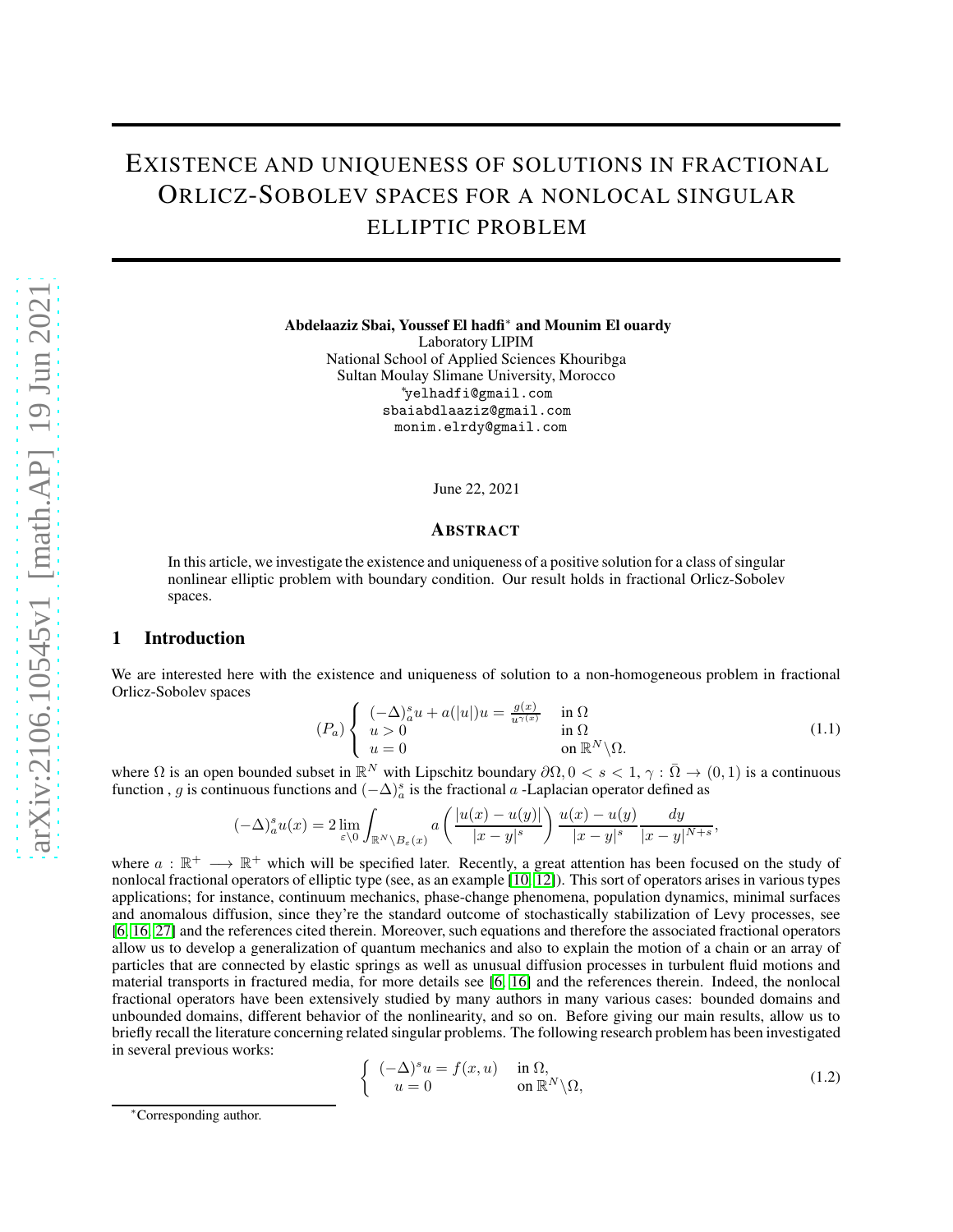# EXISTENCE AND UNIQUENESS OF SOLUTIONS IN FRACTIONAL ORLICZ-SOBOLEV SPACES FOR A NONLOCAL SINGULAR ELLIPTIC PROBLEM

Abdelaaziz Sbai, Youssef El hadfi<sup>∗</sup> and Mounim El ouardy

Laboratory LIPIM National School of Applied Sciences Khouribga Sultan Moulay Slimane University, Morocco <sup>∗</sup>yelhadfi@gmail.com sbaiabdlaaziz@gmail.com monim.elrdy@gmail.com

June 22, 2021

## ABSTRACT

In this article, we investigate the existence and uniqueness of a positive solution for a class of singular nonlinear elliptic problem with boundary condition. Our result holds in fractional Orlicz-Sobolev spaces.

### 1 Introduction

We are interested here with the existence and uniqueness of solution to a non-homogeneous problem in fractional Orlicz-Sobolev spaces

$$
(P_a) \begin{cases} (-\Delta)_a^s u + a(|u|)u = \frac{g(x)}{u^{\gamma(x)}} & \text{in } \Omega\\ u > 0 & \text{in } \Omega\\ u = 0 & \text{on } \mathbb{R}^N \backslash \Omega. \end{cases}
$$
(1.1)

,

where  $\Omega$  is an open bounded subset in  $\mathbb{R}^N$  with Lipschitz boundary  $\partial\Omega$ ,  $0 < s < 1$ ,  $\gamma : \overline{\Omega} \to (0,1)$  is a continuous function, g is continuous functions and  $(-\Delta)^s_a$  is the fractional a -Laplacian operator defined as

$$
(-\Delta)^s_u u(x) = 2 \lim_{\varepsilon \setminus 0} \int_{\mathbb{R}^N \setminus B_{\varepsilon}(x)} a\left(\frac{|u(x) - u(y)|}{|x - y|^s}\right) \frac{u(x) - u(y)}{|x - y|^s} \frac{dy}{|x - y|^{N+s}}
$$

where  $a : \mathbb{R}^+ \longrightarrow \mathbb{R}^+$  which will be specified later. Recently, a great attention has been focused on the study of nonlocal fractional operators of elliptic type (see, as an example [\[10,](#page-10-0) [12\]](#page-10-1)). This sort of operators arises in various types applications; for instance, continuum mechanics, phase-change phenomena, population dynamics, minimal surfaces and anomalous diffusion, since they're the standard outcome of stochastically stabilization of Levy processes, see [\[6,](#page-10-2) [16,](#page-10-3) [27\]](#page-10-4) and the references cited therein. Moreover, such equations and therefore the associated fractional operators allow us to develop a generalization of quantum mechanics and also to explain the motion of a chain or an array of particles that are connected by elastic springs as well as unusual diffusion processes in turbulent fluid motions and material transports in fractured media, for more details see [\[6,](#page-10-2) [16\]](#page-10-3) and the references therein. Indeed, the nonlocal fractional operators have been extensively studied by many authors in many various cases: bounded domains and unbounded domains, different behavior of the nonlinearity, and so on. Before giving our main results, allow us to briefly recall the literature concerning related singular problems. The following research problem has been investigated in several previous works:

<span id="page-0-0"></span>
$$
\begin{cases}\n(-\Delta)^s u = f(x, u) & \text{in } \Omega, \\
u = 0 & \text{on } \mathbb{R}^N \backslash \Omega,\n\end{cases}
$$
\n(1.2)

<sup>∗</sup>Corresponding author.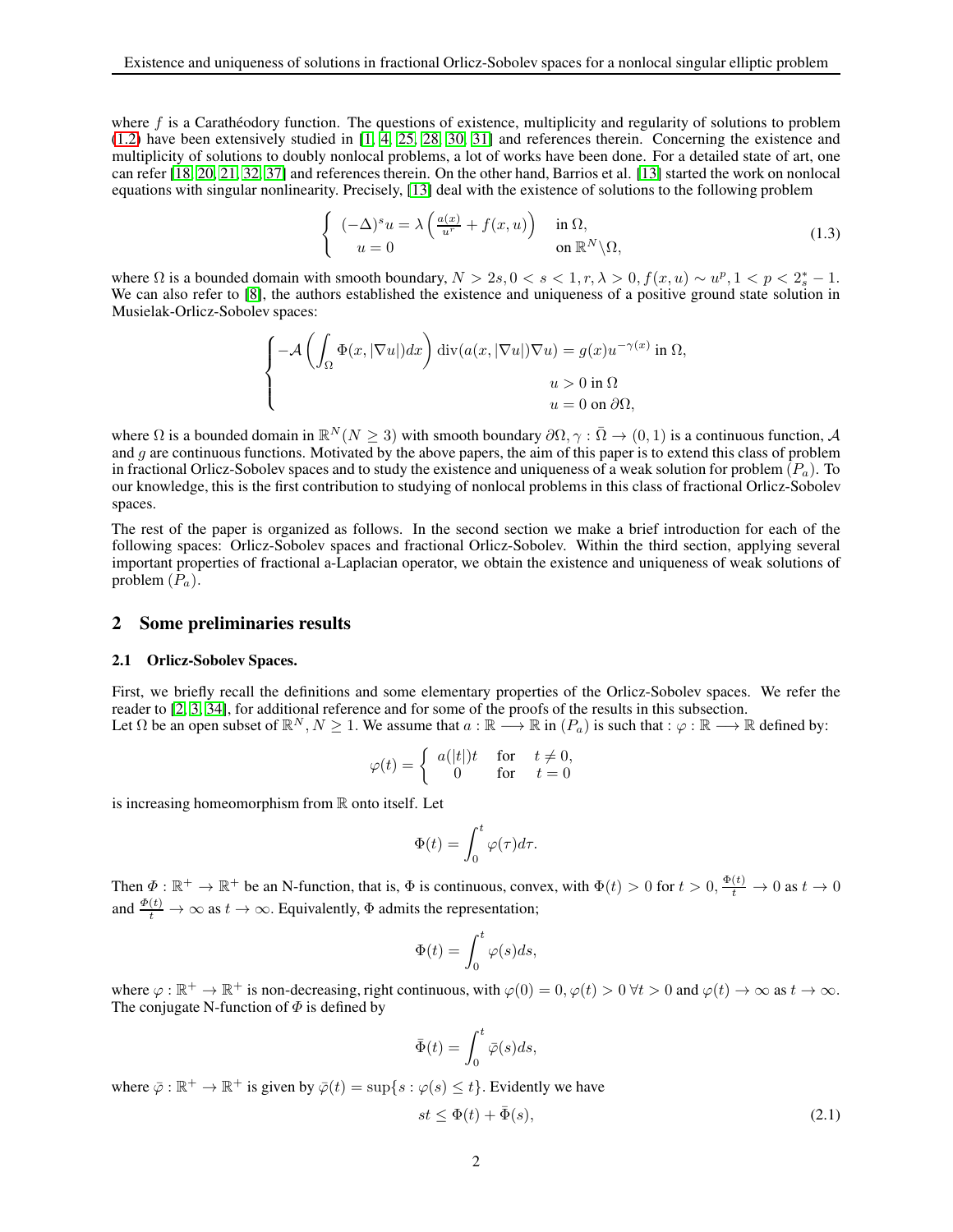where f is a Carathéodory function. The questions of existence, multiplicity and regularity of solutions to problem [\(1.2\)](#page-0-0) have been extensively studied in [\[1,](#page-9-0) [4,](#page-9-1) [25,](#page-10-5) [28,](#page-10-6) [30,](#page-10-7) [31\]](#page-11-0) and references therein. Concerning the existence and multiplicity of solutions to doubly nonlocal problems, a lot of works have been done. For a detailed state of art, one can refer [\[18,](#page-10-8) [20,](#page-10-9) [21,](#page-10-10) [32,](#page-11-1) [37\]](#page-11-2) and references therein. On the other hand, Barrios et al. [\[13\]](#page-10-11) started the work on nonlocal equations with singular nonlinearity. Precisely, [\[13\]](#page-10-11) deal with the existence of solutions to the following problem

$$
\begin{cases}\n(-\Delta)^s u = \lambda \left( \frac{a(x)}{u^r} + f(x, u) \right) & \text{in } \Omega, \\
u = 0 & \text{on } \mathbb{R}^N \backslash \Omega,\n\end{cases}
$$
\n(1.3)

where  $\Omega$  is a bounded domain with smooth boundary,  $N > 2s, 0 < s < 1, r, \lambda > 0, f(x, u) \sim u^p, 1 < p < 2_s^* - 1.$ We can also refer to [\[8\]](#page-10-12), the authors established the existence and uniqueness of a positive ground state solution in Musielak-Orlicz-Sobolev spaces:

$$
\begin{cases}\n-\mathcal{A}\left(\int_{\Omega}\Phi(x,|\nabla u|)dx\right)\mathrm{div}(a(x,|\nabla u|)\nabla u)=g(x)u^{-\gamma(x)}\text{ in }\Omega, \\
u>0\text{ in }\Omega \\
u=0\text{ on }\partial\Omega,\n\end{cases}
$$

where  $\Omega$  is a bounded domain in  $\mathbb{R}^N(N \geq 3)$  with smooth boundary  $\partial \Omega$ ,  $\gamma : \overline{\Omega} \to (0, 1)$  is a continuous function, A and g are continuous functions. Motivated by the above papers, the aim of this paper is to extend this class of problem in fractional Orlicz-Sobolev spaces and to study the existence and uniqueness of a weak solution for problem  $(P_a)$ . To our knowledge, this is the first contribution to studying of nonlocal problems in this class of fractional Orlicz-Sobolev spaces.

The rest of the paper is organized as follows. In the second section we make a brief introduction for each of the following spaces: Orlicz-Sobolev spaces and fractional Orlicz-Sobolev. Within the third section, applying several important properties of fractional a-Laplacian operator, we obtain the existence and uniqueness of weak solutions of problem  $(P_a)$ .

### 2 Some preliminaries results

#### 2.1 Orlicz-Sobolev Spaces.

First, we briefly recall the definitions and some elementary properties of the Orlicz-Sobolev spaces. We refer the reader to [\[2,](#page-9-2) [3,](#page-9-3) [34\]](#page-11-3), for additional reference and for some of the proofs of the results in this subsection. Let  $\Omega$  be an open subset of  $\mathbb{R}^N$ ,  $N \ge 1$ . We assume that  $a : \mathbb{R} \longrightarrow \mathbb{R}$  in  $(P_a)$  is such that  $:\varphi : \mathbb{R} \longrightarrow \mathbb{R}$  defined by:

$$
\varphi(t) = \begin{cases} a(|t|)t & \text{for } t \neq 0, \\ 0 & \text{for } t = 0 \end{cases}
$$

is increasing homeomorphism from  $\mathbb R$  onto itself. Let

$$
\Phi(t) = \int_0^t \varphi(\tau) d\tau.
$$

Then  $\Phi: \mathbb{R}^+ \to \mathbb{R}^+$  be an N-function, that is,  $\Phi$  is continuous, convex, with  $\Phi(t) > 0$  for  $t > 0$ ,  $\frac{\Phi(t)}{t} \to 0$  as  $t \to 0$ and  $\frac{\Phi(t)}{t} \to \infty$  as  $t \to \infty$ . Equivalently,  $\Phi$  admits the representation;

$$
\Phi(t) = \int_0^t \varphi(s)ds,
$$

where  $\varphi : \mathbb{R}^+ \to \mathbb{R}^+$  is non-decreasing, right continuous, with  $\varphi(0) = 0$ ,  $\varphi(t) > 0$   $\forall t > 0$  and  $\varphi(t) \to \infty$  as  $t \to \infty$ . The conjugate N-function of  $\Phi$  is defined by

$$
\bar{\Phi}(t) = \int_0^t \bar{\varphi}(s)ds,
$$

where  $\bar{\varphi} : \mathbb{R}^+ \to \mathbb{R}^+$  is given by  $\bar{\varphi}(t) = \sup\{s : \varphi(s) \leq t\}$ . Evidently we have

<span id="page-1-0"></span>
$$
st \le \Phi(t) + \bar{\Phi}(s),\tag{2.1}
$$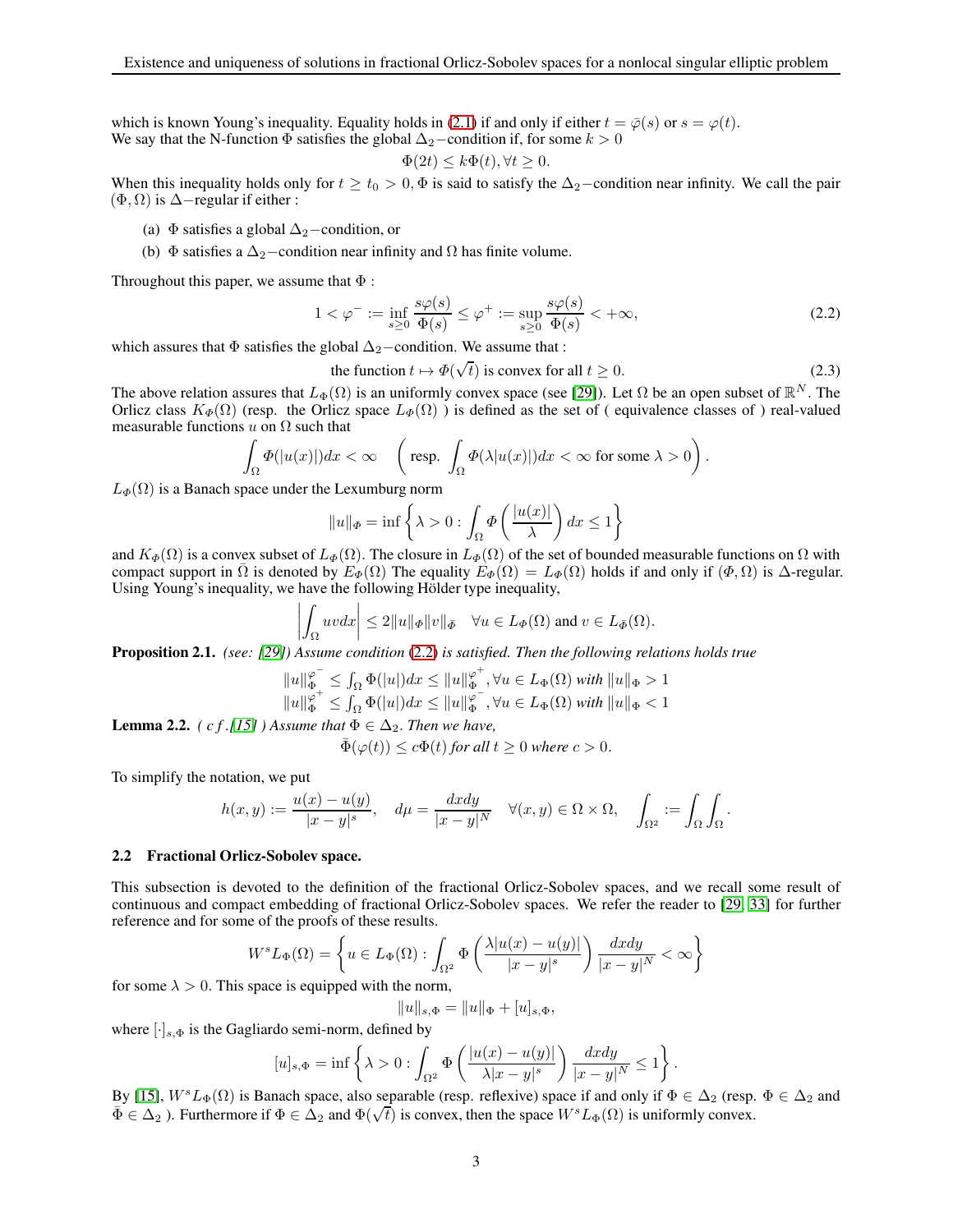which is known Young's inequality. Equality holds in [\(2.1\)](#page-1-0) if and only if either  $t = \overline{\varphi}(s)$  or  $s = \varphi(t)$ . We say that the N-function  $\Phi$  satisfies the global  $\Delta_2$ −condition if, for some  $k > 0$ 

$$
\Phi(2t) \le k\Phi(t), \forall t \ge 0.
$$

When this inequality holds only for  $t \ge t_0 > 0$ ,  $\Phi$  is said to satisfy the  $\Delta_2$ –condition near infinity. We call the pair  $(\Phi, \Omega)$  is  $\Delta$ −regular if either :

- (a)  $\Phi$  satisfies a global  $\Delta_2$ −condition, or
- (b)  $\Phi$  satisfies a  $\Delta_2$ −condition near infinity and  $\Omega$  has finite volume.

Throughout this paper, we assume that  $\Phi$ :

<span id="page-2-0"></span>
$$
1 < \varphi^- := \inf_{s \ge 0} \frac{s\varphi(s)}{\Phi(s)} \le \varphi^+ := \sup_{s \ge 0} \frac{s\varphi(s)}{\Phi(s)} < +\infty,\tag{2.2}
$$

which assures that  $\Phi$  satisfies the global  $\Delta_2$ −condition. We assume that :

the function 
$$
t \mapsto \Phi(\sqrt{t})
$$
 is convex for all  $t \ge 0$ . (2.3)

The above relation assures that  $L_{\Phi}(\Omega)$  is an uniformly convex space (see [\[29\]](#page-10-13)). Let  $\Omega$  be an open subset of  $\mathbb{R}^N$ . The Orlicz class  $K_{\Phi}(\Omega)$  (resp. the Orlicz space  $L_{\Phi}(\Omega)$ ) is defined as the set of ( equivalence classes of ) real-valued measurable functions  $u$  on  $\Omega$  such that

$$
\int_{\Omega} \varPhi(|u(x)|) dx < \infty \quad \left( \text{ resp. } \int_{\Omega} \varPhi(\lambda |u(x)|) dx < \infty \text{ for some } \lambda > 0 \right).
$$

 $L_{\Phi}(\Omega)$  is a Banach space under the Lexumburg norm

$$
||u||_{\Phi} = \inf \left\{ \lambda > 0 : \int_{\Omega} \Phi\left(\frac{|u(x)|}{\lambda}\right) dx \le 1 \right\}
$$

and  $K_{\Phi}(\Omega)$  is a convex subset of  $L_{\Phi}(\Omega)$ . The closure in  $L_{\Phi}(\Omega)$  of the set of bounded measurable functions on  $\Omega$  with compact support in  $\overline{\Omega}$  is denoted by  $E_{\Phi}(\Omega)$  The equality  $E_{\Phi}(\Omega) = L_{\Phi}(\Omega)$  holds if and only if  $(\Phi, \Omega)$  is  $\Delta$ -regular. Using Young's inequality, we have the following Hölder type inequality,

$$
\left| \int_{\Omega} uv dx \right| \leq 2||u||_{\Phi}||v||_{\bar{\Phi}} \quad \forall u \in L_{\Phi}(\Omega) \text{ and } v \in L_{\bar{\Phi}}(\Omega).
$$

Proposition 2.1. *(see: [\[29\]](#page-10-13)) Assume condition* [\(2.2\)](#page-2-0) *is satisfied. Then the following relations holds true*

$$
||u||_{\Phi}^{\varphi^{-}} \leq \int_{\Omega} \Phi(|u|) dx \leq ||u||_{\Phi}^{\varphi^{+}}, \forall u \in L_{\Phi}(\Omega) \text{ with } ||u||_{\Phi} > 1
$$
  

$$
||u||_{\Phi}^{\varphi^{+}} \leq \int_{\Omega} \Phi(|u|) dx \leq ||u||_{\Phi}^{\varphi^{-}}, \forall u \in L_{\Phi}(\Omega) \text{ with } ||u||_{\Phi} < 1
$$

**Lemma 2.2.** *( c f .[\[15\]](#page-10-14) )* Assume that  $\Phi \in \Delta_2$ . Then we have,

$$
\bar{\Phi}(\varphi(t)) \le c\Phi(t)
$$
 for all  $t \ge 0$  where  $c > 0$ .

To simplify the notation, we put

$$
h(x,y) := \frac{u(x) - u(y)}{|x - y|^s}, \quad d\mu = \frac{dxdy}{|x - y|^N} \quad \forall (x,y) \in \Omega \times \Omega, \quad \int_{\Omega^2} := \int_{\Omega} \int_{\Omega}.
$$

#### 2.2 Fractional Orlicz-Sobolev space.

This subsection is devoted to the definition of the fractional Orlicz-Sobolev spaces, and we recall some result of continuous and compact embedding of fractional Orlicz-Sobolev spaces. We refer the reader to [\[29,](#page-10-13) [33\]](#page-11-4) for further reference and for some of the proofs of these results.

$$
W^s L_{\Phi}(\Omega) = \left\{ u \in L_{\Phi}(\Omega) : \int_{\Omega^2} \Phi\left(\frac{\lambda |u(x) - u(y)|}{|x - y|^s}\right) \frac{dxdy}{|x - y|^N} < \infty \right\}
$$

for some  $\lambda > 0$ . This space is equipped with the norm,

$$
||u||_{s,\Phi} = ||u||_{\Phi} + [u]_{s,\Phi},
$$

where  $[\cdot]_{s,\Phi}$  is the Gagliardo semi-norm, defined by

$$
[u]_{s,\Phi} = \inf \left\{ \lambda > 0 : \int_{\Omega^2} \Phi\left( \frac{|u(x) - u(y)|}{\lambda |x - y|^s} \right) \frac{dxdy}{|x - y|^N} \le 1 \right\}.
$$

By [\[15\]](#page-10-14),  $W^sL_{\Phi}(\Omega)$  is Banach space, also separable (resp. reflexive) space if and only if  $\Phi \in \Delta_2$  (resp.  $\Phi \in \Delta_2$  and  $\overline{\Phi} \in \Delta_2$ ). Furthermore if  $\Phi \in \Delta_2$  and  $\Phi(\sqrt{t})$  is convex, then the space  $W^s L_{\Phi}(\Omega)$  is uniformly convex.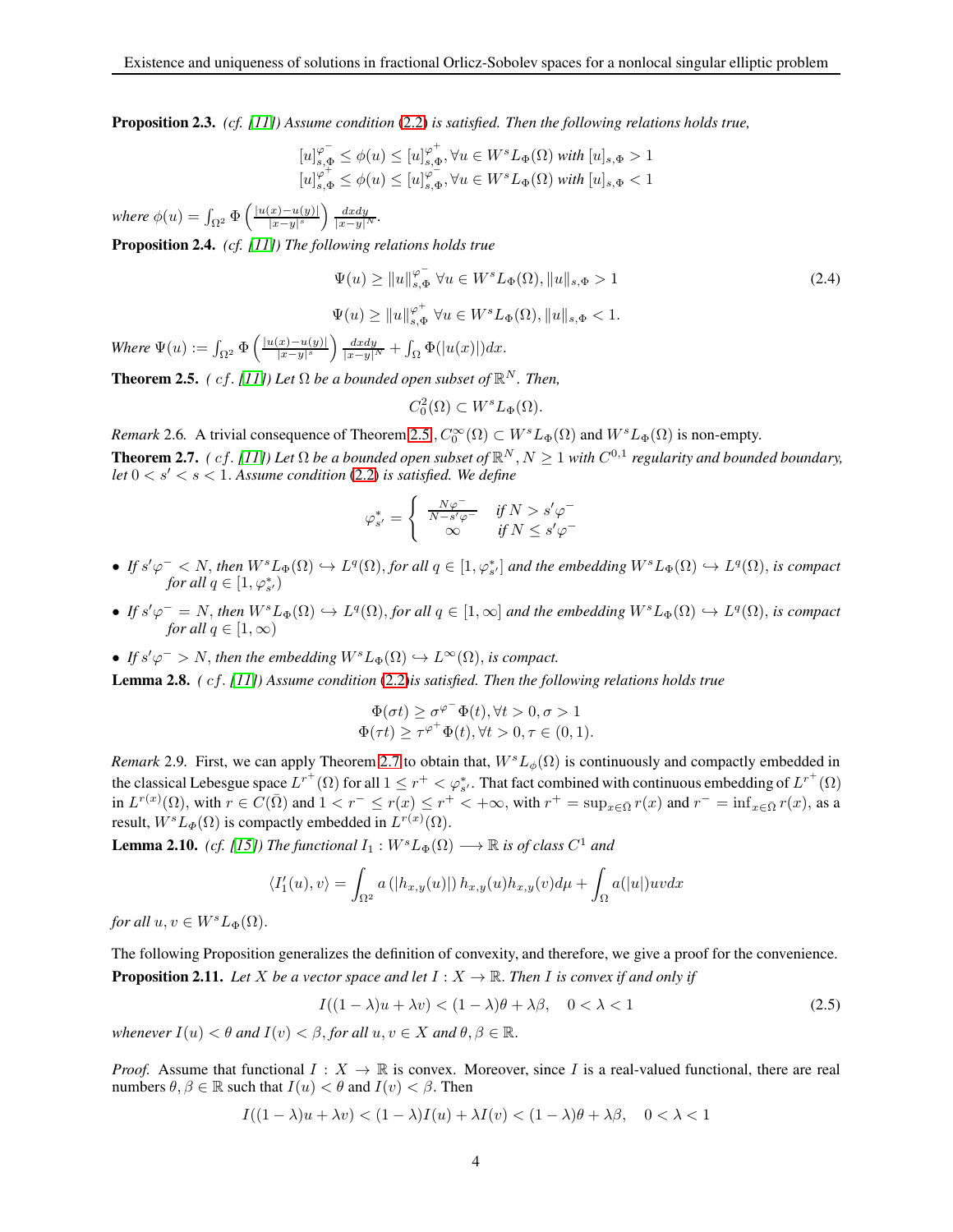<span id="page-3-6"></span>Proposition 2.3. *(cf. [\[11\]](#page-10-15)) Assume condition* [\(2.2\)](#page-2-0) *is satisfied. Then the following relations holds true,*

$$
[u]_{s,\Phi}^{\varphi^-} \le \phi(u) \le [u]_{s,\Phi}^{\varphi^+}, \forall u \in W^s L_{\Phi}(\Omega) \text{ with } [u]_{s,\Phi} > 1
$$
  

$$
[u]_{s,\Phi}^{\varphi^+} \le \phi(u) \le [u]_{s,\Phi}^{\varphi^-}, \forall u \in W^s L_{\Phi}(\Omega) \text{ with } [u]_{s,\Phi} < 1
$$

*where*  $\phi(u) = \int_{\Omega^2} \Phi\left(\frac{|u(x)-u(y)|}{|x-y|^s}\right)$  $\frac{|x)-u(y)|}{|x-y|^s}$   $\frac{dx dy}{|x-y|^N}$ .

<span id="page-3-4"></span>Proposition 2.4. *(cf. [\[11\]](#page-10-15)) The following relations holds true*

<span id="page-3-3"></span>
$$
\Psi(u) \ge ||u||_{s,\Phi}^{\varphi^-} \forall u \in W^s L_{\Phi}(\Omega), ||u||_{s,\Phi} > 1
$$
\n
$$
\Psi(u) \ge ||u||_{s,\Phi}^{\varphi^+} \forall u \in W^s L_{\Phi}(\Omega), ||u||_{s,\Phi} < 1.
$$
\n(2.4)

*Where*  $\Psi(u) := \int_{\Omega^2} \Phi\left(\frac{|u(x)-u(y)|}{|x-y|^s}\right)$  $\frac{f(x)-u(y)|}{|x-y|^s}\bigg) \frac{dx dy}{|x-y|^N} + \int_{\Omega} \Phi(|u(x)|) dx.$ 

<span id="page-3-0"></span>**Theorem 2.5.** *(cf. [\[11\]](#page-10-15))* Let  $\Omega$  be a bounded open subset of  $\mathbb{R}^N$ . Then,

$$
C_0^2(\Omega) \subset W^s L_{\Phi}(\Omega).
$$

<span id="page-3-1"></span>*Remark* 2.6. A trivial consequence of Theorem [2.5](#page-3-0),  $C_0^{\infty}(\Omega) \subset W^sL_{\Phi}(\Omega)$  and  $W^sL_{\Phi}(\Omega)$  is non-empty. **Theorem 2.7.** *(cf. [\[11\]](#page-10-15))* Let  $\Omega$  be a bounded open subset of  $\mathbb{R}^N$ ,  $N \ge 1$  with  $C^{0,1}$  regularity and bounded boundary, *let*  $0 < s' < s < 1$ . *Assume condition* [\(2.2\)](#page-2-0) *is satisfied. We define* 

$$
\varphi_{s'}^* = \begin{cases} \frac{N\varphi^-}{N - s'\varphi^-} & \text{if } N > s'\varphi^-\\ \infty & \text{if } N \leq s'\varphi^- \end{cases}
$$

- $\bullet$  *If*  $s' \varphi^-$  < *N*, *then*  $W^s L_{\Phi}(\Omega)$   $\hookrightarrow$   $L^q(\Omega)$ , *for all*  $q \in [1, \varphi_{s'}^*]$  *and the embedding*  $W^s L_{\Phi}(\Omega)$   $\hookrightarrow$   $L^q(\Omega)$ , *is compact for all*  $q \in [1, \varphi_{s'}^*)$
- $\bullet$  *If*  $s'\varphi^{-} = N$ , *then*  $W^{s}L_{\Phi}(\Omega) \hookrightarrow L^{q}(\Omega)$ , *for all*  $q \in [1,\infty]$  *and the embedding*  $W^{s}L_{\Phi}(\Omega) \hookrightarrow L^{q}(\Omega)$ , *is compact for all*  $q \in [1, \infty)$
- If  $s'\varphi^- > N$ , then the embedding  $W^sL_{\Phi}(\Omega) \hookrightarrow L^{\infty}(\Omega)$ , is compact.

Lemma 2.8. *(* cf. *[\[11\]](#page-10-15)) Assume condition* [\(2.2\)](#page-2-0)*is satisfied. Then the following relations holds true*

$$
\Phi(\sigma t) \geq \sigma^{\varphi^-} \Phi(t), \forall t > 0, \sigma > 1 \Phi(\tau t) \geq \tau^{\varphi^+} \Phi(t), \forall t > 0, \tau \in (0, 1).
$$

*Remark* 2.9. First, we can apply Theorem [2.7](#page-3-1) to obtain that,  $W<sup>s</sup>L<sub>\phi</sub>(\Omega)$  is continuously and compactly embedded in the classical Lebesgue space  $L^{r^+}(\Omega)$  for all  $1 \leq r^+ < \varphi_{s'}^*$ . That fact combined with continuous embedding of  $L^{r^+}(\Omega)$ in  $L^{r(x)}(\Omega)$ , with  $r \in C(\overline{\Omega})$  and  $1 < r^- \le r(x) \le r^+ < +\infty$ , with  $r^+ = \sup_{x \in \overline{\Omega}} r(x)$  and  $r^- = \inf_{x \in \overline{\Omega}} r(x)$ , as a result,  $W^sL_\Phi(\Omega)$  is compactly embedded in  $L^{r(x)}(\Omega)$ .

**Lemma 2.10.** *(cf. [\[15\]](#page-10-14))* The functional  $I_1: W<sup>s</sup>L_{\Phi}(\Omega) \longrightarrow \mathbb{R}$  is of class  $C^1$  and

$$
\langle I_1'(u), v \rangle = \int_{\Omega^2} a\left( |h_{x,y}(u)| \right) h_{x,y}(u) h_{x,y}(v) d\mu + \int_{\Omega} a(|u|) uv dx
$$

*for all*  $u, v \in W<sup>s</sup>L_{\Phi}(\Omega)$ .

<span id="page-3-5"></span>The following Proposition generalizes the definition of convexity, and therefore, we give a proof for the convenience. **Proposition 2.11.** Let X be a vector space and let  $I : X \to \mathbb{R}$ . Then I is convex if and only if

<span id="page-3-2"></span>
$$
I((1 - \lambda)u + \lambda v) < (1 - \lambda)\theta + \lambda\beta, \quad 0 < \lambda < 1 \tag{2.5}
$$

*whenever*  $I(u) < \theta$  *and*  $I(v) < \beta$ , *for all*  $u, v \in X$  *and*  $\theta, \beta \in \mathbb{R}$ .

*Proof.* Assume that functional  $I: X \to \mathbb{R}$  is convex. Moreover, since I is a real-valued functional, there are real numbers  $\theta, \beta \in \mathbb{R}$  such that  $I(u) < \theta$  and  $I(v) < \beta$ . Then

$$
I((1 - \lambda)u + \lambda v) < (1 - \lambda)I(u) + \lambda I(v) < (1 - \lambda)\theta + \lambda\beta, \quad 0 < \lambda < 1
$$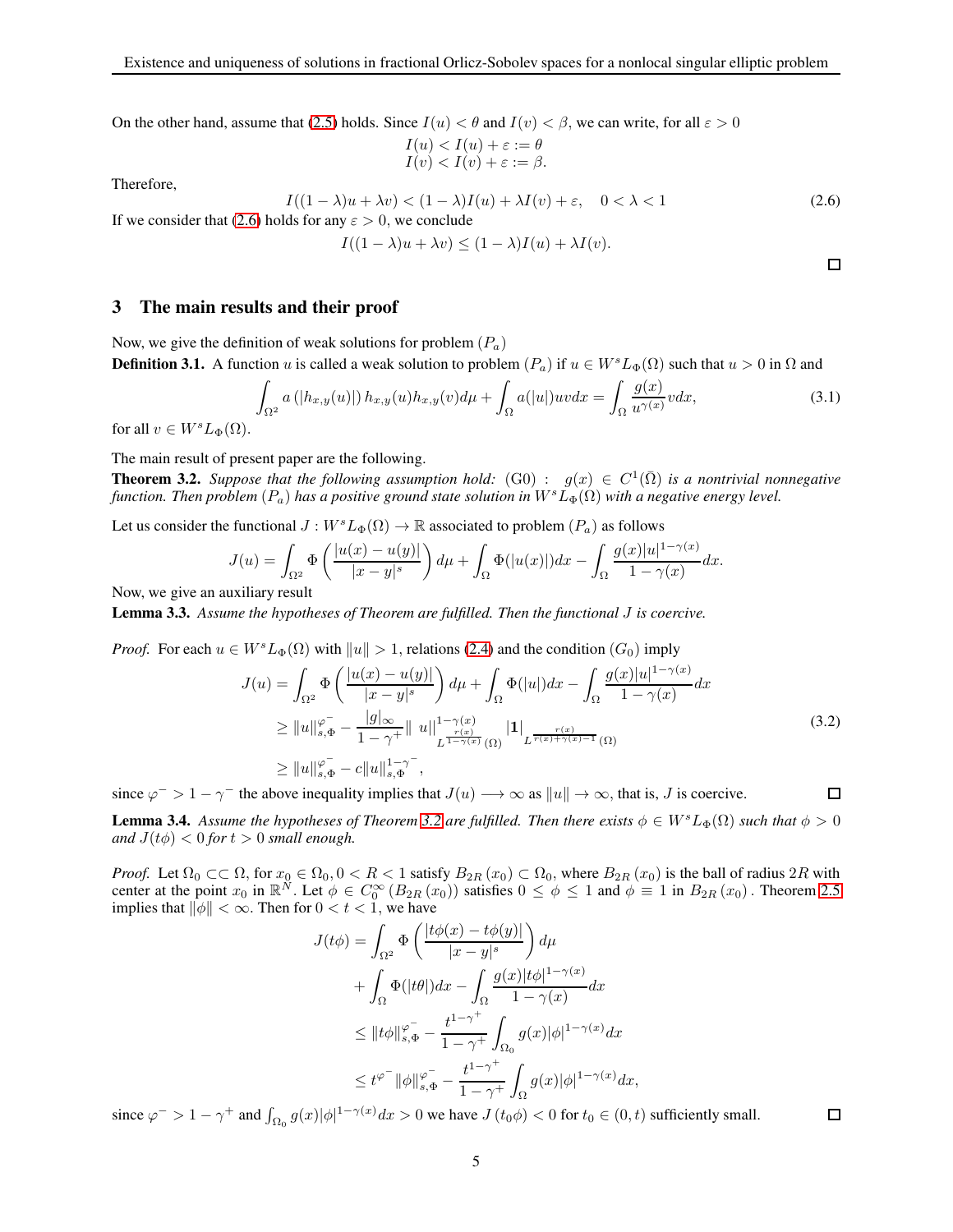On the other hand, assume that [\(2.5\)](#page-3-2) holds. Since  $I(u) < \theta$  and  $I(v) < \beta$ , we can write, for all  $\varepsilon > 0$ 

$$
I(u) < I(u) + \varepsilon := \theta
$$
  
\n
$$
I(v) < I(v) + \varepsilon := \beta.
$$

<span id="page-4-0"></span>Therefore,

 $I((1 - \lambda)u + \lambda v) < (1 - \lambda)I(u) + \lambda I(v) + \varepsilon, \quad 0 < \lambda < 1$  (2.6) If we consider that [\(2.6\)](#page-4-0) holds for any  $\varepsilon > 0$ , we conclude  $I((1 - \lambda)u + \lambda v) \leq (1 - \lambda)I(u) + \lambda I(v).$ 

3 The main results and their proof

Now, we give the definition of weak solutions for problem  $(P_a)$ **Definition 3.1.** A function u is called a weak solution to problem  $(P_a)$  if  $u \in W<sup>s</sup>L_{\Phi}(\Omega)$  such that  $u > 0$  in  $\Omega$  and

$$
\int_{\Omega^2} a\left(|h_{x,y}(u)|\right) h_{x,y}(u) h_{x,y}(v) d\mu + \int_{\Omega} a(|u|) uv dx = \int_{\Omega} \frac{g(x)}{u^{\gamma(x)}} v dx,
$$
\n(3.1)

for all  $v \in W^sL_{\Phi}(\Omega)$ .

The main result of present paper are the following.

<span id="page-4-1"></span>**Theorem 3.2.** Suppose that the following assumption hold:  $(G0)$  :  $g(x) \in C^1(\overline{\Omega})$  is a nontrivial nonnegative *function. Then problem*  $(P_a)$  *has a positive ground state solution in*  $W^sL_\Phi(\Omega)$  *with a negative energy level.* 

Let us consider the functional  $J: W<sup>s</sup>L_{\Phi}(\Omega) \to \mathbb{R}$  associated to problem  $(P_a)$  as follows

$$
J(u) = \int_{\Omega^2} \Phi\left(\frac{|u(x) - u(y)|}{|x - y|^s}\right) d\mu + \int_{\Omega} \Phi(|u(x)|) dx - \int_{\Omega} \frac{g(x)|u|^{1 - \gamma(x)}}{1 - \gamma(x)} dx.
$$

Now, we give an auxiliary result

Lemma 3.3. *Assume the hypotheses of Theorem are fulfilled. Then the functional* J *is coercive.*

*Proof.* For each  $u \in W<sup>s</sup>L_{\Phi}(\Omega)$  with  $||u|| > 1$ , relations [\(2.4\)](#page-3-3) and the condition  $(G_0)$  imply

$$
J(u) = \int_{\Omega^2} \Phi\left(\frac{|u(x) - u(y)|}{|x - y|^s}\right) d\mu + \int_{\Omega} \Phi(|u|) dx - \int_{\Omega} \frac{g(x)|u|^{1 - \gamma(x)}}{1 - \gamma(x)} dx
$$
  
\n
$$
\geq ||u||_{s, \Phi}^{\varphi} - \frac{|g|_{\infty}}{1 - \gamma^+} ||u||_{L^{\frac{r(x)}{1 - \gamma(x)}}(\Omega)}^{1 - \gamma(x)} |1|_{L^{\frac{r(x)}{r(x) + \gamma(x) - 1}}(\Omega)}
$$
  
\n
$$
\geq ||u||_{s, \Phi}^{\varphi} - c||u||_{s, \Phi}^{1 - \gamma^-},
$$
\n(3.2)

since  $\varphi^{-} > 1 - \gamma^{-}$  the above inequality implies that  $J(u) \longrightarrow \infty$  as  $||u|| \longrightarrow \infty$ , that is, J is coercive.

<span id="page-4-3"></span>**Lemma 3.4.** Assume the hypotheses of Theorem [3.2](#page-4-1) are fulfilled. Then there exists  $\phi \in W^sL_{\Phi}(\Omega)$  such that  $\phi > 0$ *and*  $J(t\phi) < 0$  *for*  $t > 0$  *small enough.* 

*Proof.* Let  $\Omega_0 \subset\subset \Omega$ , for  $x_0 \in \Omega_0$ ,  $0 < R < 1$  satisfy  $B_{2R}(x_0) \subset \Omega_0$ , where  $B_{2R}(x_0)$  is the ball of radius  $2R$  with center at the point  $x_0$  in  $\mathbb{R}^N$ . Let  $\phi \in C_0^{\infty}(B_{2R}(x_0))$  satisfies  $0 \le \phi \le 1$  and  $\phi \equiv 1$  in  $B_{2R}(x_0)$ . Theorem [2.5](#page-3-0) implies that  $\|\phi\| < \infty$ . Then for  $0 < t < 1$ , we have

$$
J(t\phi) = \int_{\Omega^2} \Phi\left(\frac{|t\phi(x) - t\phi(y)|}{|x - y|^s}\right) d\mu
$$
  
+ 
$$
\int_{\Omega} \Phi(|t\theta|) dx - \int_{\Omega} \frac{g(x)|t\phi|^{1 - \gamma(x)}}{1 - \gamma(x)} dx
$$
  

$$
\leq ||t\phi||_{s, \Phi}^{\varphi^-} - \frac{t^{1 - \gamma^+}}{1 - \gamma^+} \int_{\Omega_0} g(x)|\phi|^{1 - \gamma(x)} dx
$$
  

$$
\leq t^{\varphi^-} ||\phi||_{s, \Phi}^{\varphi^-} - \frac{t^{1 - \gamma^+}}{1 - \gamma^+} \int_{\Omega} g(x)|\phi|^{1 - \gamma(x)} dx,
$$

since  $\varphi^{-} > 1 - \gamma^{+}$  and  $\int_{\Omega_{0}} g(x)|\phi|^{1-\gamma(x)} dx > 0$  we have  $J(t_{0}\phi) < 0$  for  $t_{0} \in (0, t)$  sufficiently small.

<span id="page-4-2"></span>

 $\Box$ 

<span id="page-4-4"></span>口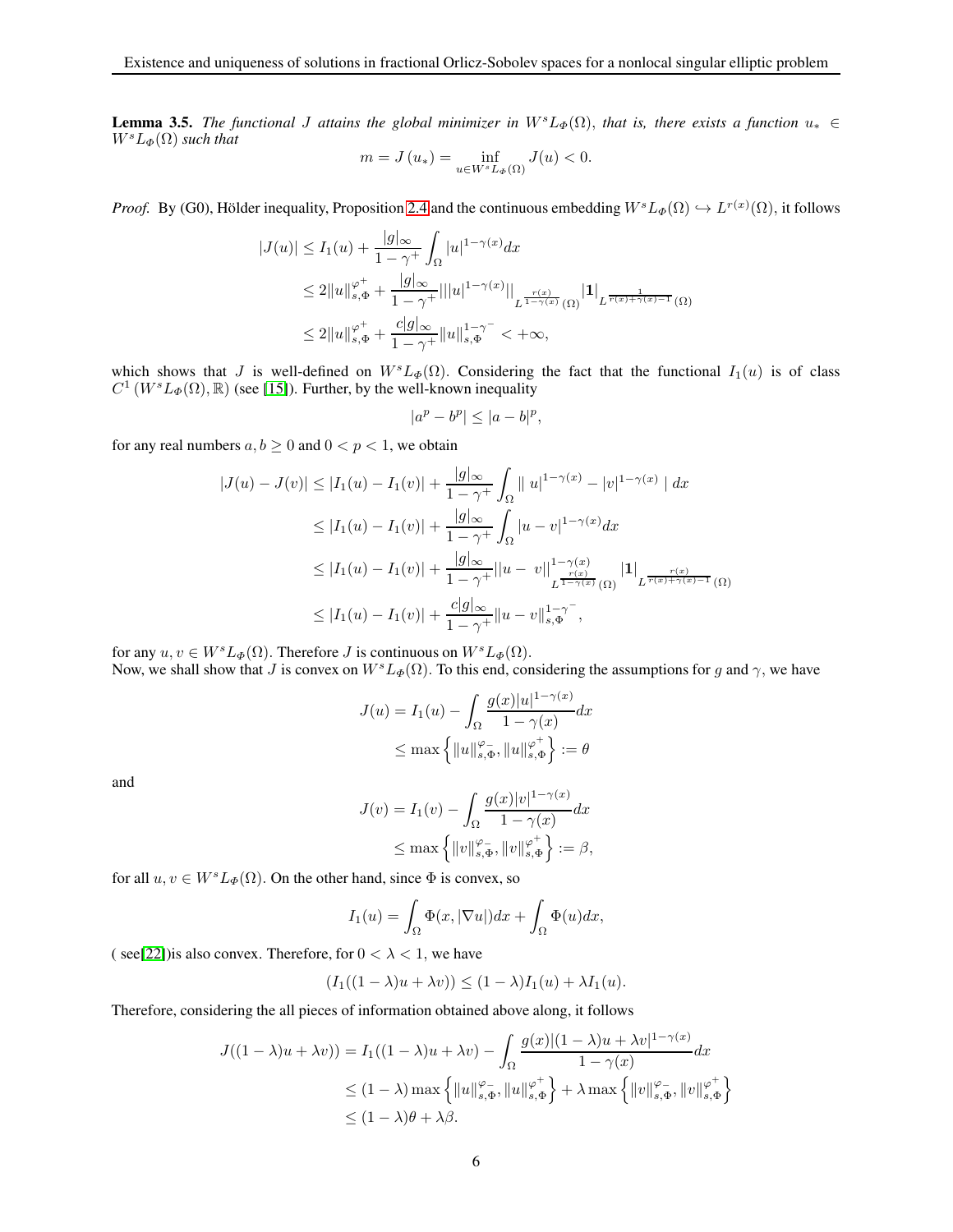**Lemma 3.5.** *The functional J* attains the global minimizer in  $W<sup>s</sup>L<sub>\Phi</sub>(\Omega)$ , that is, there exists a function  $u_* \in$  $W<sup>s</sup>L_{\Phi}(\Omega)$  *such that* 

$$
m = J(u_*) = \inf_{u \in W^s L_{\Phi}(\Omega)} J(u) < 0.
$$

*Proof.* By (G0), Hölder inequality, Proposition [2.4](#page-3-4) and the continuous embedding  $W^sL_{\Phi}(\Omega) \hookrightarrow L^{r(x)}(\Omega)$ , it follows

$$
|J(u)| \le I_1(u) + \frac{|g|_{\infty}}{1 - \gamma^+} \int_{\Omega} |u|^{1 - \gamma(x)} dx
$$
  
\n
$$
\le 2||u||_{s,\Phi}^{\varphi^+} + \frac{|g|_{\infty}}{1 - \gamma^+} |||u|^{1 - \gamma(x)} ||_{L^{\frac{r(x)}{1 - \gamma(x)}}(\Omega)} |1|_{L^{\frac{r(x)}{r(x) + \gamma(x) - 1}}(\Omega)}
$$
  
\n
$$
\le 2||u||_{s,\Phi}^{\varphi^+} + \frac{c|g|_{\infty}}{1 - \gamma^+} ||u||_{s,\Phi}^{1 - \gamma^-} < +\infty,
$$

which shows that J is well-defined on  $W<sup>s</sup>L_{\Phi}(\Omega)$ . Considering the fact that the functional  $I_1(u)$  is of class  $C^1$  (W<sup>s</sup>L<sub>Φ</sub>( $\Omega$ ), R) (see [\[15\]](#page-10-14)). Further, by the well-known inequality

$$
|a^p - b^p| \le |a - b|^p,
$$

for any real numbers  $a, b \ge 0$  and  $0 < p < 1$ , we obtain

$$
|J(u) - J(v)| \le |I_1(u) - I_1(v)| + \frac{|g|_{\infty}}{1 - \gamma^+} \int_{\Omega} ||u|^{1 - \gamma(x)} - |v|^{1 - \gamma(x)} || dx
$$
  
\n
$$
\le |I_1(u) - I_1(v)| + \frac{|g|_{\infty}}{1 - \gamma^+} \int_{\Omega} |u - v|^{1 - \gamma(x)} dx
$$
  
\n
$$
\le |I_1(u) - I_1(v)| + \frac{|g|_{\infty}}{1 - \gamma^+} ||u - v||_{L^{\frac{r(x)}{1 - \gamma(x)}}(\Omega)}^{1 - \gamma(x)} |1|_{L^{\frac{r(x)}{r(x) + \gamma(x) - 1}}(\Omega)}
$$
  
\n
$$
\le |I_1(u) - I_1(v)| + \frac{c|g|_{\infty}}{1 - \gamma^+} ||u - v||_{s, \Phi}^{1 - \gamma^-},
$$

for any  $u, v \in W^sL_{\Phi}(\Omega)$ . Therefore *J* is continuous on  $W^sL_{\Phi}(\Omega)$ . Now, we shall show that J is convex on  $W<sup>s</sup>L_{\Phi}(\Omega)$ . To this end, considering the assumptions for g and  $\gamma$ , we have

$$
J(u) = I_1(u) - \int_{\Omega} \frac{g(x)|u|^{1-\gamma(x)}}{1-\gamma(x)} dx
$$

$$
\leq \max \left\{ ||u||_{s,\Phi}^{\varphi}, ||u||_{s,\Phi}^{\varphi^+} \right\} := \theta
$$

and

$$
J(v) = I_1(v) - \int_{\Omega} \frac{g(x)|v|^{1-\gamma(x)}}{1-\gamma(x)} dx
$$
  

$$
\leq \max \left\{ ||v||_{s,\Phi}^{\varphi}, ||v||_{s,\Phi}^{\varphi^+} \right\} := \beta,
$$

for all  $u, v \in W<sup>s</sup>L_{\Phi}(\Omega)$ . On the other hand, since  $\Phi$  is convex, so

$$
I_1(u) = \int_{\Omega} \Phi(x, |\nabla u|) dx + \int_{\Omega} \Phi(u) dx,
$$

( see[\[22\]](#page-10-16)) is also convex. Therefore, for  $0 < \lambda < 1$ , we have

$$
(I_1((1 - \lambda)u + \lambda v)) \le (1 - \lambda)I_1(u) + \lambda I_1(u).
$$

Therefore, considering the all pieces of information obtained above along, it follows

$$
J((1 - \lambda)u + \lambda v)) = I_1((1 - \lambda)u + \lambda v) - \int_{\Omega} \frac{g(x)|(1 - \lambda)u + \lambda v|^{1 - \gamma(x)}}{1 - \gamma(x)} dx
$$
  
\n
$$
\leq (1 - \lambda) \max \left\{ ||u||_{s,\Phi}^{\varphi}, ||u||_{s,\Phi}^{\varphi^+} \right\} + \lambda \max \left\{ ||v||_{s,\Phi}^{\varphi}, ||v||_{s,\Phi}^{\varphi^+} \right\}
$$
  
\n
$$
\leq (1 - \lambda)\theta + \lambda\beta.
$$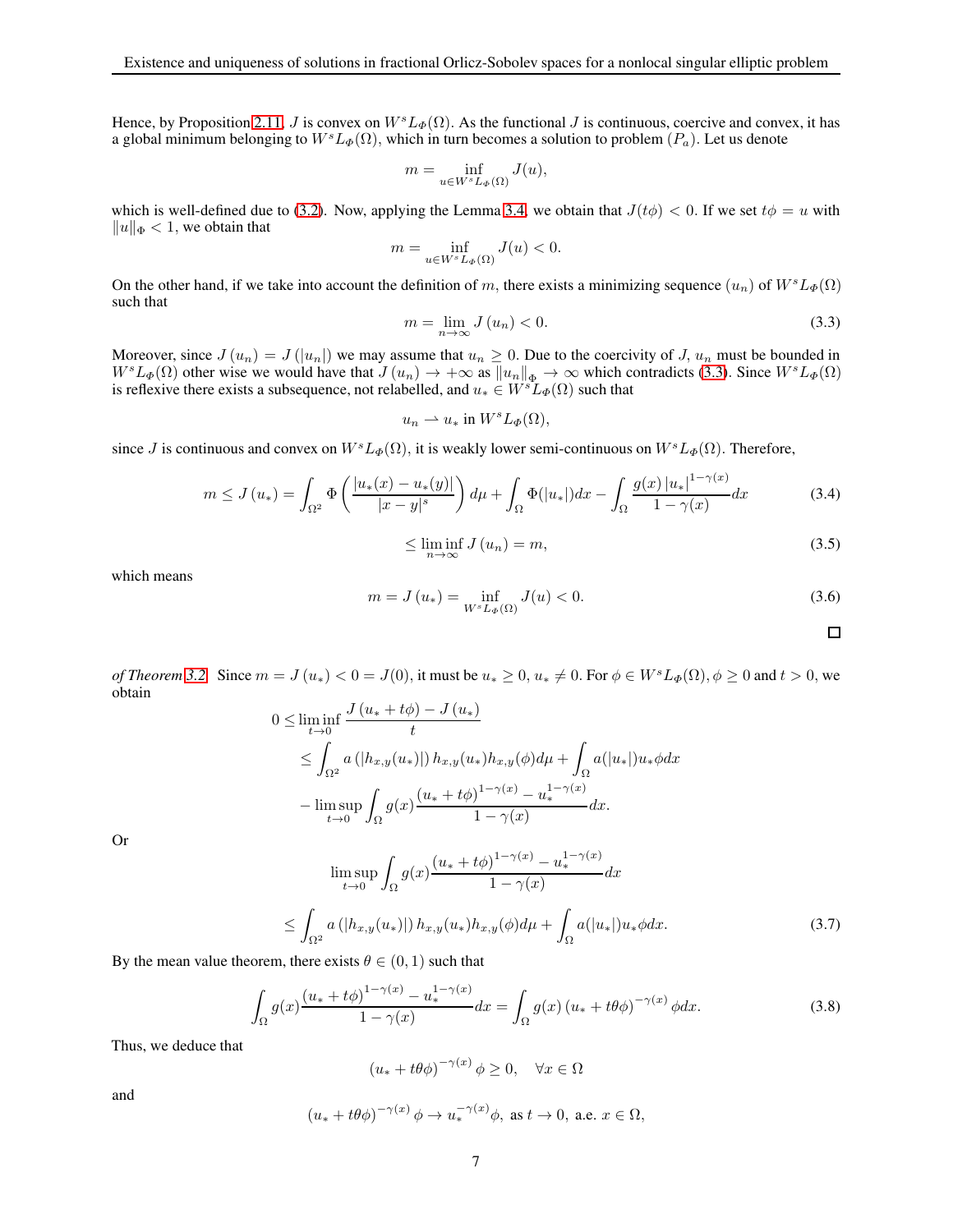Hence, by Proposition [2.11,](#page-3-5) J is convex on  $W<sup>s</sup>L_{\Phi}(\Omega)$ . As the functional J is continuous, coercive and convex, it has a global minimum belonging to  $W<sup>s</sup>L_{\Phi}(\Omega)$ , which in turn becomes a solution to problem  $(P_a)$ . Let us denote

$$
m = \inf_{u \in W^s L_\Phi(\Omega)} J(u),
$$

which is well-defined due to [\(3.2\)](#page-4-2). Now, applying the Lemma [3.4,](#page-4-3) we obtain that  $J(t\phi) < 0$ . If we set  $t\phi = u$  with  $\|u\|_{\Phi} < 1$ , we obtain that

$$
m = \inf_{u \in W^s L_\Phi(\Omega)} J(u) < 0.
$$

<span id="page-6-0"></span>On the other hand, if we take into account the definition of m, there exists a minimizing sequence  $(u_n)$  of  $W^sL_{\Phi}(\Omega)$ such that

$$
m = \lim_{n \to \infty} J(u_n) < 0. \tag{3.3}
$$

Moreover, since  $J(u_n) = J(|u_n|)$  we may assume that  $u_n \geq 0$ . Due to the coercivity of J,  $u_n$  must be bounded in  $W<sup>s</sup>L<sub>\Phi</sub>(\Omega)$  other wise we would have that  $J(u_n) \to +\infty$  as  $||u_n||_{\Phi} \to \infty$  which contradicts [\(3.3\)](#page-6-0). Since  $W<sup>s</sup>L<sub>\Phi</sub>(\Omega)$ is reflexive there exists a subsequence, not relabelled, and  $u_* \in W<sup>s</sup>L_\Phi(\Omega)$  such that

$$
u_n \rightharpoonup u_* \text{ in } W^s L_\Phi(\Omega),
$$

since J is continuous and convex on  $W<sup>s</sup>L<sub>\Phi</sub>(\Omega)$ , it is weakly lower semi-continuous on  $W<sup>s</sup>L<sub>\Phi</sub>(\Omega)$ . Therefore,

$$
m \le J(u_*) = \int_{\Omega^2} \Phi\left(\frac{|u_*(x) - u_*(y)|}{|x - y|^s}\right) d\mu + \int_{\Omega} \Phi(|u_*|) dx - \int_{\Omega} \frac{g(x) |u_*|^{1 - \gamma(x)}}{1 - \gamma(x)} dx\tag{3.4}
$$

$$
\leq \liminf_{n \to \infty} J(u_n) = m,\tag{3.5}
$$

which means

$$
m = J(u_*) = \inf_{W^s L_{\Phi}(\Omega)} J(u) < 0. \tag{3.6}
$$

 $\Box$ 

*of Theorem* [3.2.](#page-4-1) Since  $m = J(u_*) < 0 = J(0)$ , it must be  $u_* \geq 0$ ,  $u_* \neq 0$ . For  $\phi \in W^s L_\phi(\Omega)$ ,  $\phi \geq 0$  and  $t > 0$ , we obtain  $J(\omega + t\phi) = J(\omega)$ 

$$
0 \leq \liminf_{t \to 0} \frac{J(u_* + t\varphi) - J(u_*)}{t}
$$
  
\n
$$
\leq \int_{\Omega^2} a(|h_{x,y}(u_*)|) h_{x,y}(u_*) h_{x,y}(\phi) d\mu + \int_{\Omega} a(|u_*|) u_* \phi dx
$$
  
\n
$$
- \limsup_{t \to 0} \int_{\Omega} g(x) \frac{(u_* + t\phi)^{1 - \gamma(x)} - u_*^{1 - \gamma(x)}}{1 - \gamma(x)} dx.
$$

<span id="page-6-2"></span>Or

$$
\limsup_{t \to 0} \int_{\Omega} g(x) \frac{(u_* + t\phi)^{1 - \gamma(x)} - u_*^{1 - \gamma(x)}}{1 - \gamma(x)} dx
$$
\n
$$
\leq \int_{\Omega^2} a \left( |h_{x,y}(u_*)| \right) h_{x,y}(u_*) h_{x,y}(\phi) d\mu + \int_{\Omega} a(|u_*|) u_* \phi dx. \tag{3.7}
$$

By the mean value theorem, there exists  $\theta \in (0, 1)$  such that

$$
\int_{\Omega} g(x) \frac{\left(u_* + t\phi\right)^{1-\gamma(x)} - u_*^{1-\gamma(x)}}{1-\gamma(x)} dx = \int_{\Omega} g(x) \left(u_* + t\theta\phi\right)^{-\gamma(x)} \phi dx. \tag{3.8}
$$

Thus, we deduce that

<span id="page-6-1"></span>
$$
(u_* + t\theta\phi)^{-\gamma(x)}\,\phi \ge 0, \quad \forall x \in \Omega
$$

and

$$
(u_* + t\theta\phi)^{-\gamma(x)}\phi \to u_*^{-\gamma(x)}\phi, \text{ as } t \to 0, \text{ a.e. } x \in \Omega,
$$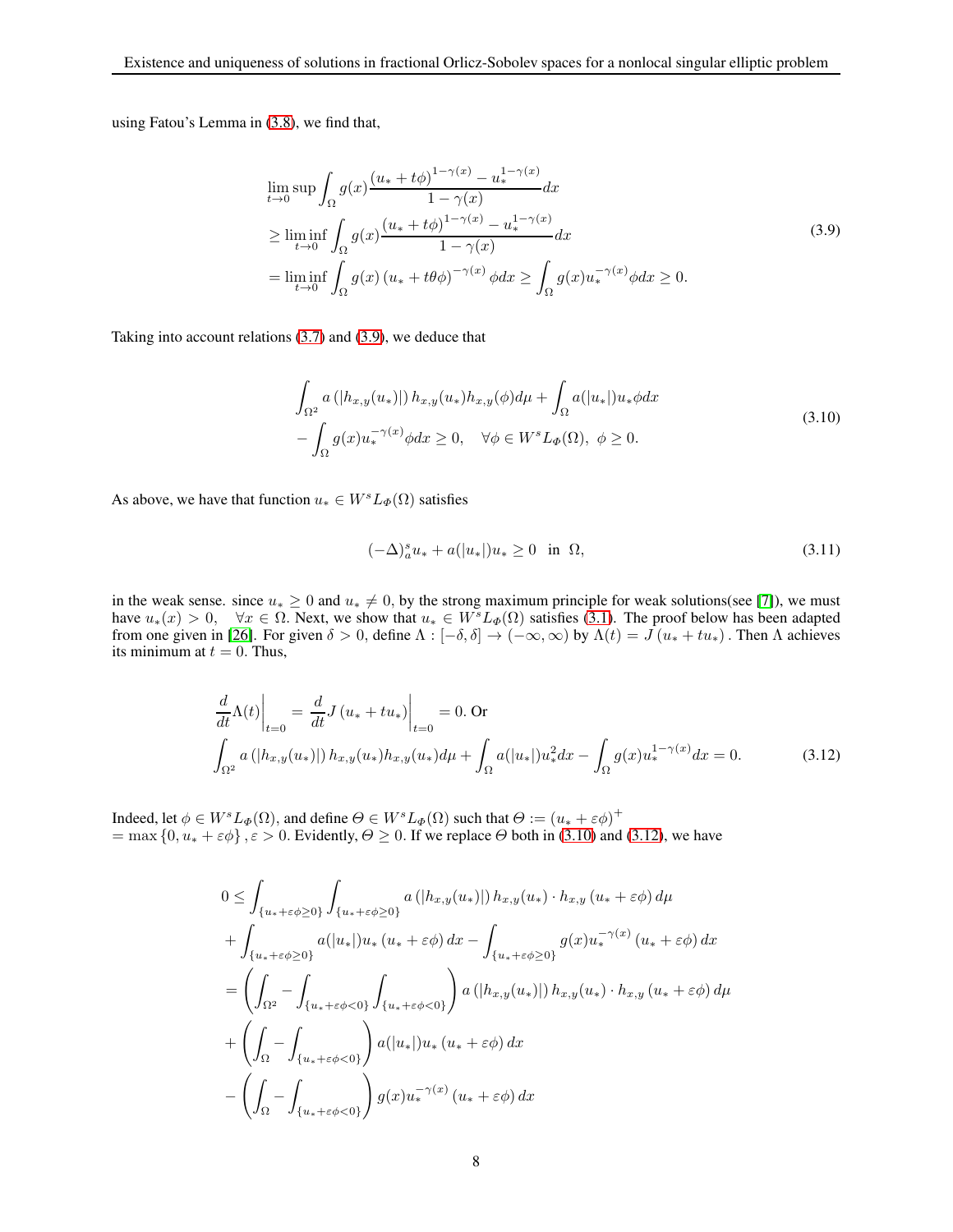using Fatou's Lemma in [\(3.8\)](#page-6-1), we find that,

<span id="page-7-0"></span>
$$
\lim_{t \to 0} \sup \int_{\Omega} g(x) \frac{(u_* + t\phi)^{1-\gamma(x)} - u_*^{1-\gamma(x)}}{1 - \gamma(x)} dx
$$
\n
$$
\geq \liminf_{t \to 0} \int_{\Omega} g(x) \frac{(u_* + t\phi)^{1-\gamma(x)} - u_*^{1-\gamma(x)}}{1 - \gamma(x)} dx
$$
\n
$$
= \liminf_{t \to 0} \int_{\Omega} g(x) (u_* + t\theta\phi)^{-\gamma(x)} \phi dx \geq \int_{\Omega} g(x) u_*^{-\gamma(x)} \phi dx \geq 0.
$$
\n(3.9)

Taking into account relations [\(3.7\)](#page-6-2) and [\(3.9\)](#page-7-0), we deduce that

<span id="page-7-1"></span>
$$
\int_{\Omega^2} a\left(|h_{x,y}(u_*)|\right) h_{x,y}(u_*) h_{x,y}(\phi) d\mu + \int_{\Omega} a(|u_*|) u_* \phi dx
$$
\n
$$
-\int_{\Omega} g(x) u_*^{-\gamma(x)} \phi dx \ge 0, \quad \forall \phi \in W^s L_{\Phi}(\Omega), \ \phi \ge 0.
$$
\n(3.10)

As above, we have that function  $u_* \in W<sup>s</sup>L_{\Phi}(\Omega)$  satisfies

<span id="page-7-2"></span>
$$
(-\Delta)^{s}_{a}u_{*} + a(|u_{*}|)u_{*} \ge 0 \quad \text{in} \ \ \Omega,
$$
\n(3.11)

in the weak sense. since  $u_* \geq 0$  and  $u_* \neq 0$ , by the strong maximum principle for weak solutions(see [\[7\]](#page-10-17)), we must have  $u_*(x) > 0$ ,  $\forall x \in \Omega$ . Next, we show that  $u_* \in W^sL_{\Phi}(\Omega)$  satisfies [\(3.1\)](#page-4-4). The proof below has been adapted from one given in [\[26\]](#page-10-18). For given  $\delta > 0$ , define  $\Lambda : [-\delta, \delta] \to (-\infty, \infty)$  by  $\Lambda(t) = J(u_* + tu_*)$ . Then  $\Lambda$  achieves its minimum at  $t = 0$ . Thus,

$$
\frac{d}{dt}\Lambda(t)\Big|_{t=0} = \frac{d}{dt}J(u_* + tu_*)\Big|_{t=0} = 0. \text{ Or}
$$
\n
$$
\int_{\Omega^2} a(|h_{x,y}(u_*)|) h_{x,y}(u_*)h_{x,y}(u_*) d\mu + \int_{\Omega} a(|u_*|)u_*^2 dx - \int_{\Omega} g(x)u_*^{1-\gamma(x)} dx = 0.
$$
\n(3.12)

Indeed, let  $\phi \in W^sL_\Phi(\Omega)$ , and define  $\Theta \in W^sL_\Phi(\Omega)$  such that  $\Theta := (u_* + \varepsilon \phi)^+$  $=$  max  $\{0, u_* + \varepsilon \phi\}, \varepsilon > 0$ . Evidently,  $\Theta \ge 0$ . If we replace  $\Theta$  both in [\(3.10\)](#page-7-1) and [\(3.12\)](#page-7-2), we have

$$
0 \leq \int_{\{u_* + \varepsilon \phi \geq 0\}} \int_{\{u_* + \varepsilon \phi \geq 0\}} a\left(|h_{x,y}(u_*)|\right) h_{x,y}(u_*) \cdot h_{x,y}(u_* + \varepsilon \phi) d\mu + \int_{\{u_* + \varepsilon \phi \geq 0\}} a(|u_*|) u_* (u_* + \varepsilon \phi) dx - \int_{\{u_* + \varepsilon \phi \geq 0\}} g(x) u_*^{-\gamma(x)} (u_* + \varepsilon \phi) dx = \left( \int_{\Omega^2} - \int_{\{u_* + \varepsilon \phi < 0\}} \int_{\{u_* + \varepsilon \phi < 0\}} \right) a\left(|h_{x,y}(u_*)|\right) h_{x,y}(u_*) \cdot h_{x,y}(u_* + \varepsilon \phi) d\mu + \left( \int_{\Omega} - \int_{\{u_* + \varepsilon \phi < 0\}} \right) a(|u_*|) u_* (u_* + \varepsilon \phi) dx - \left( \int_{\Omega} - \int_{\{u_* + \varepsilon \phi < 0\}} \right) g(x) u_*^{-\gamma(x)} (u_* + \varepsilon \phi) dx
$$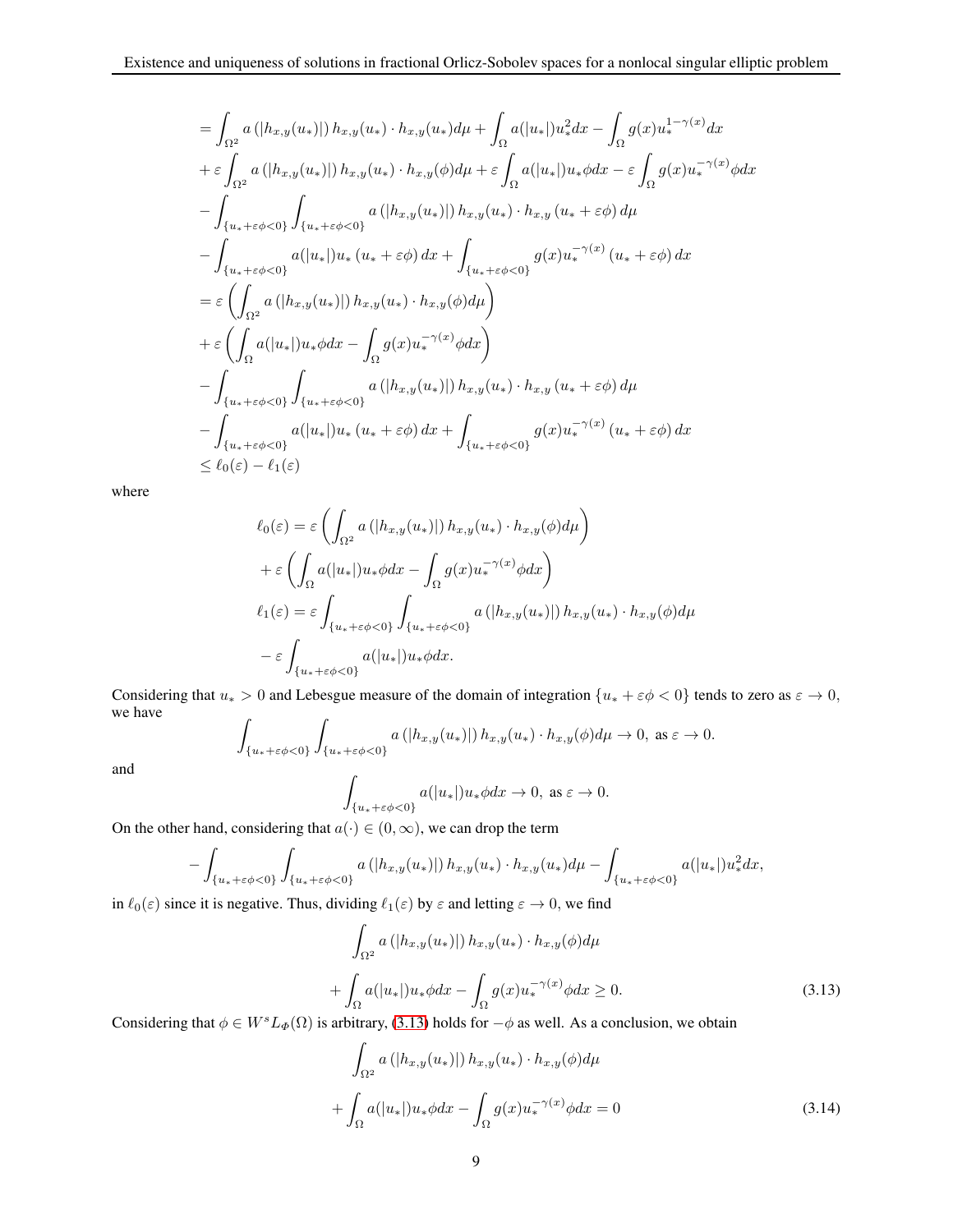$$
= \int_{\Omega^2} a(|h_{x,y}(u_*)|) h_{x,y}(u_*) \cdot h_{x,y}(u_*) d\mu + \int_{\Omega} a(|u_*|)u_*^2 dx - \int_{\Omega} g(x)u_*^{1-\gamma(x)} dx
$$
  
+  $\varepsilon \int_{\Omega^2} a(|h_{x,y}(u_*)|) h_{x,y}(u_*) \cdot h_{x,y}(\phi) d\mu + \varepsilon \int_{\Omega} a(|u_*|)u_* \phi dx - \varepsilon \int_{\Omega} g(x)u_*^{-\gamma(x)} \phi dx$   
-  $\int_{\{u_* + \varepsilon \phi < 0\}} \int_{\{u_* + \varepsilon \phi < 0\}} a(|h_{x,y}(u_*)|) h_{x,y}(u_*) \cdot h_{x,y}(u_* + \varepsilon \phi) d\mu$   
-  $\int_{\{u_* + \varepsilon \phi < 0\}} a(|u_*|)u_* (u_* + \varepsilon \phi) dx + \int_{\{u_* + \varepsilon \phi < 0\}} g(x)u_*^{-\gamma(x)} (u_* + \varepsilon \phi) dx$   
=  $\varepsilon \left( \int_{\Omega^2} a(|h_{x,y}(u_*)|) h_{x,y}(u_*) \cdot h_{x,y}(\phi) d\mu \right)$   
+  $\varepsilon \left( \int_{\Omega} a(|u_*|)u_* \phi dx - \int_{\Omega} g(x)u_*^{-\gamma(x)} \phi dx \right)$   
-  $\int_{\{u_* + \varepsilon \phi < 0\}} \int_{\{u_* + \varepsilon \phi < 0\}} a(|h_{x,y}(u_*)|) h_{x,y}(u_*) \cdot h_{x,y}(u_* + \varepsilon \phi) d\mu$   
-  $\int_{\{u_* + \varepsilon \phi < 0\}} a(|u_*|)u_* (u_* + \varepsilon \phi) dx + \int_{\{u_* + \varepsilon \phi < 0\}} g(x)u_*^{-\gamma(x)} (u_* + \varepsilon \phi) dx$   
 $\leq \ell_0(\varepsilon) - \ell_1(\varepsilon)$ 

where

$$
\ell_0(\varepsilon) = \varepsilon \left( \int_{\Omega^2} a\left( |h_{x,y}(u_*)| \right) h_{x,y}(u_*) \cdot h_{x,y}(\phi) d\mu \right)
$$
  
+  $\varepsilon \left( \int_{\Omega} a(|u_*|) u_* \phi dx - \int_{\Omega} g(x) u_*^{-\gamma(x)} \phi dx \right)$   

$$
\ell_1(\varepsilon) = \varepsilon \int_{\{u_* + \varepsilon \phi < 0\}} \int_{\{u_* + \varepsilon \phi < 0\}} a\left( |h_{x,y}(u_*)| \right) h_{x,y}(u_*) \cdot h_{x,y}(\phi) d\mu
$$
  
-  $\varepsilon \int_{\{u_* + \varepsilon \phi < 0\}} a(|u_*|) u_* \phi dx.$ 

Considering that  $u_* > 0$  and Lebesgue measure of the domain of integration  $\{u_* + \varepsilon \phi < 0\}$  tends to zero as  $\varepsilon \to 0$ , we have  $\overline{a}$ 

$$
\int_{\{u_*+\varepsilon\phi<0\}} \int_{\{u_*+\varepsilon\phi<0\}} a\left(|h_{x,y}(u_*)|\right) h_{x,y}(u_*) \cdot h_{x,y}(\phi) d\mu \to 0, \text{ as } \varepsilon \to 0.
$$
\n
$$
\int_{\{\varepsilon \to |x| \leq \varepsilon\}} a(|u_*|) u_* \phi dx \to 0, \text{ as } \varepsilon \to 0.
$$

and

$$
\int_{\{u_*+\varepsilon\phi<0\}} a(|u_*|)u_*\phi dx \to 0, \text{ as } \varepsilon \to 0.
$$

On the other hand, considering that  $a(\cdot) \in (0, \infty)$ , we can drop the term

$$
-\int_{\{u_*+\varepsilon\phi<0\}}\int_{\{u_*+\varepsilon\phi<0\}} a\left(|h_{x,y}(u_*)|\right)h_{x,y}(u_*)\cdot h_{x,y}(u_*)d\mu-\int_{\{u_*+\varepsilon\phi<0\}} a(|u_*|)u_*^2dx,
$$

in  $\ell_0(\varepsilon)$  since it is negative. Thus, dividing  $\ell_1(\varepsilon)$  by  $\varepsilon$  and letting  $\varepsilon \to 0$ , we find

$$
\int_{\Omega^2} a\left( |h_{x,y}(u_*)| \right) h_{x,y}(u_*) \cdot h_{x,y}(\phi) d\mu
$$

$$
+ \int_{\Omega} a(|u_*|) u_* \phi dx - \int_{\Omega} g(x) u_*^{-\gamma(x)} \phi dx \ge 0.
$$
(3.13)

<span id="page-8-0"></span>Considering that  $\phi \in W^sL_{\Phi}(\Omega)$  is arbitrary, [\(3.13\)](#page-8-0) holds for  $-\phi$  as well. As a conclusion, we obtain

$$
\int_{\Omega^2} a\left(|h_{x,y}(u_*)|\right) h_{x,y}(u_*) \cdot h_{x,y}(\phi) d\mu
$$

$$
+ \int_{\Omega} a(|u_*|) u_* \phi dx - \int_{\Omega} g(x) u_*^{-\gamma(x)} \phi dx = 0 \tag{3.14}
$$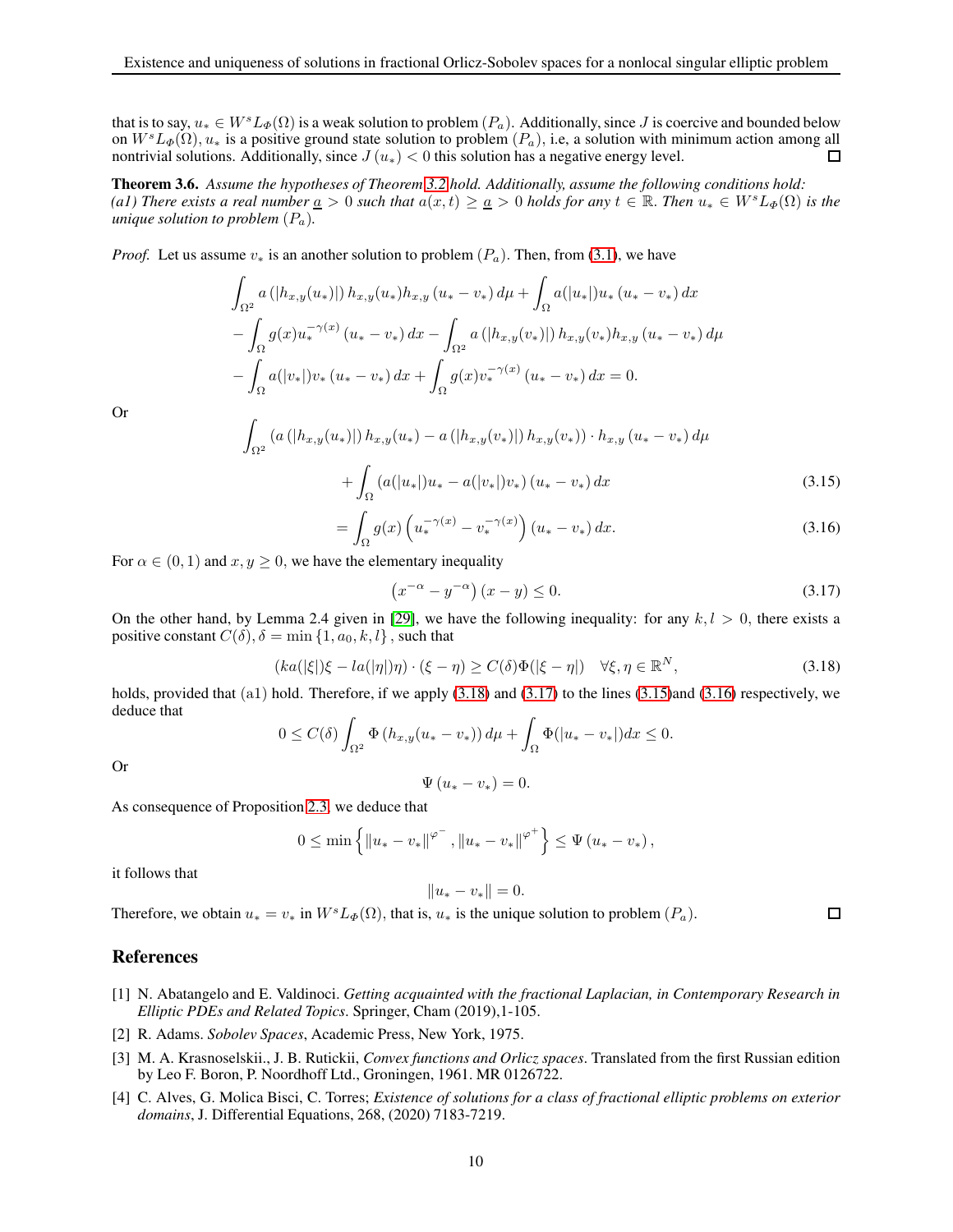that is to say,  $u_* \in W^s L_\Phi(\Omega)$  is a weak solution to problem  $(P_a)$ . Additionally, since J is coercive and bounded below on  $W^sL_{\Phi}(\Omega)$ ,  $u_*$  is a positive ground state solution to problem  $(P_a)$ , i.e, a solution with minimum action among all nontrivial solutions. Additionally, since  $J(u_*) < 0$  this solution has a negative energy level. nontrivial solutions. Additionally, since  $J(u_*) < 0$  this solution has a negative energy level.

Theorem 3.6. *Assume the hypotheses of Theorem [3.2](#page-4-1) hold. Additionally, assume the following conditions hold: (a1) There exists a real number*  $\underline{a} > 0$  *such that*  $a(x, t) \geq \underline{a} > 0$  *holds for any*  $t \in \mathbb{R}$ . *Then*  $u_* \in W^s L_{\Phi}(\Omega)$  *is the unique solution to problem*  $(P_a)$ *.* 

*Proof.* Let us assume  $v_*$  is an another solution to problem  $(P_a)$ . Then, from [\(3.1\)](#page-4-4), we have

$$
\int_{\Omega^2} a\left( |h_{x,y}(u_*)| \right) h_{x,y}(u_*) h_{x,y}(u_* - v_*) d\mu + \int_{\Omega} a(|u_*|) u_* (u_* - v_*) dx
$$
  

$$
- \int_{\Omega} g(x) u_*^{-\gamma(x)} (u_* - v_*) dx - \int_{\Omega^2} a\left( |h_{x,y}(v_*)| \right) h_{x,y}(v_*) h_{x,y}(u_* - v_*) d\mu
$$
  

$$
- \int_{\Omega} a(|v_*|) v_* (u_* - v_*) dx + \int_{\Omega} g(x) v_*^{-\gamma(x)} (u_* - v_*) dx = 0.
$$

<span id="page-9-6"></span>Or

$$
\int_{\Omega^2} \left( a\left( |h_{x,y}(u_*)| \right) h_{x,y}(u_*) - a\left( |h_{x,y}(v_*)| \right) h_{x,y}(v_*) \right) \cdot h_{x,y}(u_* - v_*) \, d\mu
$$
\n
$$
+ \int_{\Omega} \left( a(|u_*|) u_* - a(|v_*|) v_* \right) (u_* - v_*) \, dx \tag{3.15}
$$

$$
=\int_{\Omega} g(x) \left( u_*^{-\gamma(x)} - v_*^{-\gamma(x)} \right) \left( u_* - v_* \right) dx. \tag{3.16}
$$

<span id="page-9-7"></span>For  $\alpha \in (0, 1)$  and  $x, y \ge 0$ , we have the elementary inequality

<span id="page-9-5"></span><span id="page-9-4"></span>
$$
\left(x^{-\alpha} - y^{-\alpha}\right)(x - y) \le 0. \tag{3.17}
$$

On the other hand, by Lemma 2.4 given in [\[29\]](#page-10-13), we have the following inequality: for any  $k, l > 0$ , there exists a positive constant  $C(\delta)$ ,  $\delta = \min\{1, a_0, k, l\}$ , such that

$$
(ka(|\xi|)\xi - la(|\eta|)\eta) \cdot (\xi - \eta) \ge C(\delta)\Phi(|\xi - \eta|) \quad \forall \xi, \eta \in \mathbb{R}^N,
$$
\n(3.18)

holds, provided that (a1) hold. Therefore, if we apply [\(3.18\)](#page-9-4) and [\(3.17\)](#page-9-5) to the lines [\(3.15\)](#page-9-6)and [\(3.16\)](#page-9-7) respectively, we deduce that

$$
0 \leq C(\delta) \int_{\Omega^2} \Phi\left(h_{x,y}(u_*-v_*)\right) d\mu + \int_{\Omega} \Phi(|u_*-v_*|) dx \leq 0.
$$

Or

$$
\Psi(u_*-v_*)=0.
$$

As consequence of Proposition [2.3,](#page-3-6) we deduce that

$$
0 \leq \min\left\{ {\left\| {{u_*} - {v_*}} \right\|}^{\varphi^-},\left\| {{u_*} - {v_*}} \right\|^{\varphi^+}} \right\} \leq \Psi \left( {{u_*} - {v_*}} \right),
$$

 $||u_* - v_*|| = 0.$ 

it follows that

Therefore, we obtain 
$$
u_* = v_*
$$
 in  $W^s L_{\Phi}(\Omega)$ , that is,  $u_*$  is the unique solution to problem  $(P_a)$ .

## References

- <span id="page-9-0"></span>[1] N. Abatangelo and E. Valdinoci. *Getting acquainted with the fractional Laplacian, in Contemporary Research in Elliptic PDEs and Related Topics*. Springer, Cham (2019),1-105.
- <span id="page-9-3"></span><span id="page-9-2"></span>[2] R. Adams. *Sobolev Spaces*, Academic Press, New York, 1975.
- [3] M. A. Krasnoselskii., J. B. Rutickii, *Convex functions and Orlicz spaces*. Translated from the first Russian edition by Leo F. Boron, P. Noordhoff Ltd., Groningen, 1961. MR 0126722.
- <span id="page-9-1"></span>[4] C. Alves, G. Molica Bisci, C. Torres; *Existence of solutions for a class of fractional elliptic problems on exterior domains*, J. Differential Equations, 268, (2020) 7183-7219.

 $\Box$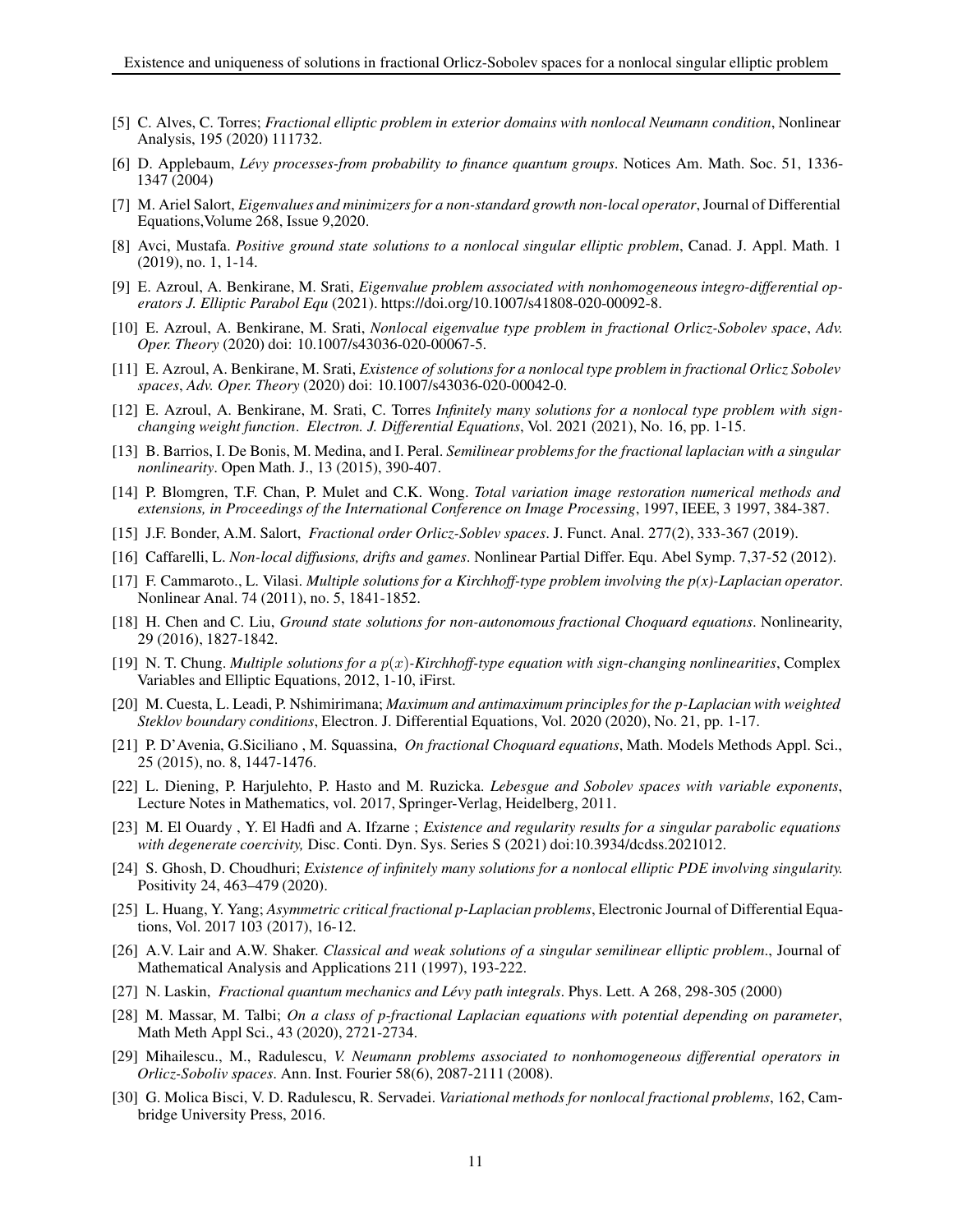- <span id="page-10-2"></span>[5] C. Alves, C. Torres; *Fractional elliptic problem in exterior domains with nonlocal Neumann condition*, Nonlinear Analysis, 195 (2020) 111732.
- [6] D. Applebaum, *Lévy processes-from probability to finance quantum groups*. Notices Am. Math. Soc. 51, 1336- 1347 (2004)
- <span id="page-10-17"></span>[7] M. Ariel Salort, *Eigenvalues and minimizers for a non-standard growth non-local operator*, Journal of Differential Equations,Volume 268, Issue 9,2020.
- <span id="page-10-12"></span>[8] Avci, Mustafa. *Positive ground state solutions to a nonlocal singular elliptic problem*, Canad. J. Appl. Math. 1 (2019), no. 1, 1-14.
- [9] E. Azroul, A. Benkirane, M. Srati, *Eigenvalue problem associated with nonhomogeneous integro-differential operators J. Elliptic Parabol Equ* (2021). https://doi.org/10.1007/s41808-020-00092-8.
- <span id="page-10-0"></span>[10] E. Azroul, A. Benkirane, M. Srati, *Nonlocal eigenvalue type problem in fractional Orlicz-Sobolev space*, *Adv. Oper. Theory* (2020) doi: 10.1007/s43036-020-00067-5.
- <span id="page-10-15"></span>[11] E. Azroul, A. Benkirane, M. Srati, *Existence of solutions for a nonlocal type problem in fractional Orlicz Sobolev spaces*, *Adv. Oper. Theory* (2020) doi: 10.1007/s43036-020-00042-0.
- <span id="page-10-1"></span>[12] E. Azroul, A. Benkirane, M. Srati, C. Torres *Infinitely many solutions for a nonlocal type problem with signchanging weight function*. *Electron. J. Differential Equations*, Vol. 2021 (2021), No. 16, pp. 1-15.
- <span id="page-10-11"></span>[13] B. Barrios, I. De Bonis, M. Medina, and I. Peral. *Semilinear problems for the fractional laplacian with a singular nonlinearity*. Open Math. J., 13 (2015), 390-407.
- [14] P. Blomgren, T.F. Chan, P. Mulet and C.K. Wong. *Total variation image restoration numerical methods and extensions, in Proceedings of the International Conference on Image Processing*, 1997, IEEE, 3 1997, 384-387.
- <span id="page-10-14"></span><span id="page-10-3"></span>[15] J.F. Bonder, A.M. Salort, *Fractional order Orlicz-Soblev spaces*. J. Funct. Anal. 277(2), 333-367 (2019).
- [16] Caffarelli, L. *Non-local diffusions, drifts and games*. Nonlinear Partial Differ. Equ. Abel Symp. 7,37-52 (2012).
- [17] F. Cammaroto., L. Vilasi. *Multiple solutions for a Kirchhoff-type problem involving the p(x)-Laplacian operator*. Nonlinear Anal. 74 (2011), no. 5, 1841-1852.
- <span id="page-10-8"></span>[18] H. Chen and C. Liu, *Ground state solutions for non-autonomous fractional Choquard equations*. Nonlinearity, 29 (2016), 1827-1842.
- [19] N. T. Chung. *Multiple solutions for a* p(x)*-Kirchhoff-type equation with sign-changing nonlinearities*, Complex Variables and Elliptic Equations, 2012, 1-10, iFirst.
- <span id="page-10-9"></span>[20] M. Cuesta, L. Leadi, P. Nshimirimana; *Maximum and antimaximum principles for the p-Laplacian with weighted Steklov boundary conditions*, Electron. J. Differential Equations, Vol. 2020 (2020), No. 21, pp. 1-17.
- <span id="page-10-10"></span>[21] P. D'Avenia, G.Siciliano , M. Squassina, *On fractional Choquard equations*, Math. Models Methods Appl. Sci., 25 (2015), no. 8, 1447-1476.
- <span id="page-10-16"></span>[22] L. Diening, P. Harjulehto, P. Hasto and M. Ruzicka. *Lebesgue and Sobolev spaces with variable exponents*, Lecture Notes in Mathematics, vol. 2017, Springer-Verlag, Heidelberg, 2011.
- [23] M. El Ouardy , Y. El Hadfi and A. Ifzarne ; *Existence and regularity results for a singular parabolic equations with degenerate coercivity,* Disc. Conti. Dyn. Sys. Series S (2021) doi:10.3934/dcdss.2021012.
- [24] S. Ghosh, D. Choudhuri; *Existence of infinitely many solutions for a nonlocal elliptic PDE involving singularity.* Positivity 24, 463–479 (2020).
- <span id="page-10-5"></span>[25] L. Huang, Y. Yang; *Asymmetric critical fractional p-Laplacian problems*, Electronic Journal of Differential Equations, Vol. 2017 103 (2017), 16-12.
- <span id="page-10-18"></span>[26] A.V. Lair and A.W. Shaker. *Classical and weak solutions of a singular semilinear elliptic problem*., Journal of Mathematical Analysis and Applications 211 (1997), 193-222.
- <span id="page-10-6"></span><span id="page-10-4"></span>[27] N. Laskin, *Fractional quantum mechanics and Lévy path integrals*. Phys. Lett. A 268, 298-305 (2000)
- [28] M. Massar, M. Talbi; *On a class of p-fractional Laplacian equations with potential depending on parameter*, Math Meth Appl Sci., 43 (2020), 2721-2734.
- <span id="page-10-13"></span>[29] Mihailescu., M., Radulescu, *V. Neumann problems associated to nonhomogeneous differential operators in Orlicz-Soboliv spaces*. Ann. Inst. Fourier 58(6), 2087-2111 (2008).
- <span id="page-10-7"></span>[30] G. Molica Bisci, V. D. Radulescu, R. Servadei. *Variational methods for nonlocal fractional problems*, 162, Cambridge University Press, 2016.